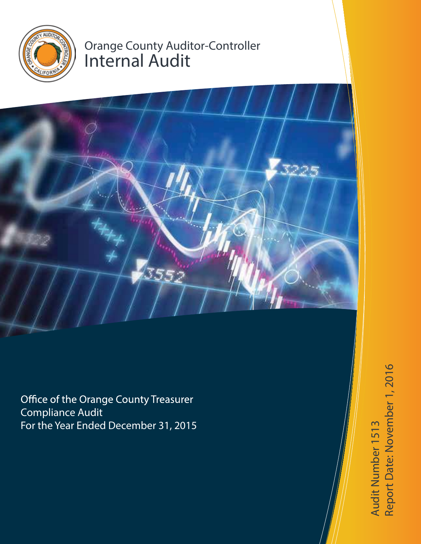

# Orange County Auditor-Controller Internal Audit



Office of the Orange County Treasurer Compliance Audit For the Year Ended December 31, 2015

Report Date: November 1, 2016 Report Date: November 1, 2016 Audit Number 1513 Audit Number 1513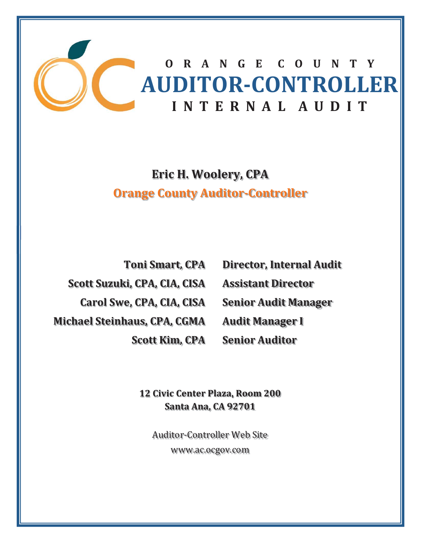

**Eric H. Woolery, CPA Orange County AuditorǦController**

**Toni Smart, CPA Scott Suzuki, CPA, CIA, CISA Carol Swe, CPA, CIA, CISA Michael Steinhaus, CPA, CGMA Scott Kim, CPA** **Director, Internal Audit Assistant Director Senior Audit Manager Audit Manager I Senior Auditor**

**12 Civic Center Plaza, Room 200 Santa Ana, CA 92701**

Auditor-Controller Web Site www.ac.ocgov.com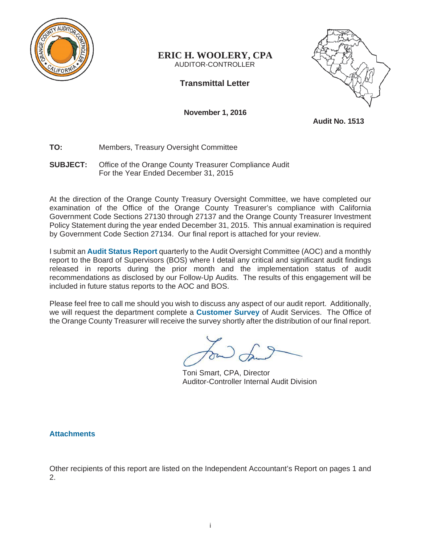

# **ERIC H. WOOLERY, CPA** AUDITOR-CONTROLLER

**Transmittal Letter** 

 **November 1, 2016** 

**Audit No. 1513** 

# **TO:** Members, Treasury Oversight Committee

**SUBJECT:** Office of the Orange County Treasurer Compliance Audit For the Year Ended December 31, 2015

At the direction of the Orange County Treasury Oversight Committee, we have completed our examination of the Office of the Orange County Treasurer's compliance with California Government Code Sections 27130 through 27137 and the Orange County Treasurer Investment Policy Statement during the year ended December 31, 2015. This annual examination is required by Government Code Section 27134. Our final report is attached for your review.

I submit an **Audit Status Report** quarterly to the Audit Oversight Committee (AOC) and a monthly report to the Board of Supervisors (BOS) where I detail any critical and significant audit findings released in reports during the prior month and the implementation status of audit recommendations as disclosed by our Follow-Up Audits. The results of this engagement will be included in future status reports to the AOC and BOS.

Please feel free to call me should you wish to discuss any aspect of our audit report. Additionally, we will request the department complete a **Customer Survey** of Audit Services. The Office of the Orange County Treasurer will receive the survey shortly after the distribution of our final report.

Toni Smart, CPA, Director Auditor-Controller Internal Audit Division

**Attachments**

Other recipients of this report are listed on the Independent Accountant's Report on pages 1 and 2.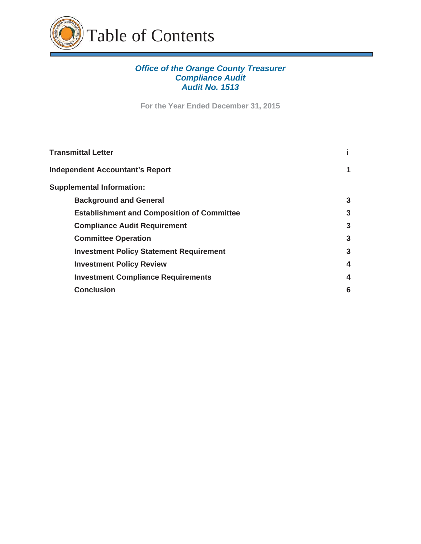

# *Office of the Orange County Treasurer Compliance Audit Audit No. 1513*

**For the Year Ended December 31, 2015** 

| <b>Transmittal Letter</b>                         |   |
|---------------------------------------------------|---|
| <b>Independent Accountant's Report</b>            | 1 |
| <b>Supplemental Information:</b>                  |   |
| <b>Background and General</b>                     | 3 |
| <b>Establishment and Composition of Committee</b> | 3 |
| <b>Compliance Audit Requirement</b>               | 3 |
| <b>Committee Operation</b>                        | 3 |
| <b>Investment Policy Statement Requirement</b>    | 3 |
| <b>Investment Policy Review</b>                   | 4 |
| <b>Investment Compliance Requirements</b>         | 4 |
| <b>Conclusion</b>                                 | 6 |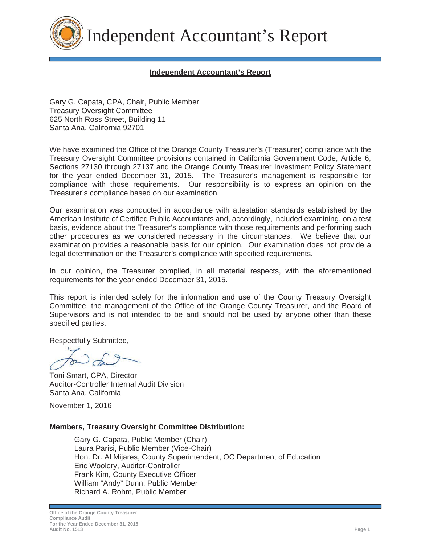

Independent Accountant's Report

# **Independent Accountant's Report**

Gary G. Capata, CPA, Chair, Public Member Treasury Oversight Committee 625 North Ross Street, Building 11 Santa Ana, California 92701

We have examined the Office of the Orange County Treasurer's (Treasurer) compliance with the Treasury Oversight Committee provisions contained in California Government Code, Article 6, Sections 27130 through 27137 and the Orange County Treasurer Investment Policy Statement for the year ended December 31, 2015. The Treasurer's management is responsible for compliance with those requirements. Our responsibility is to express an opinion on the Treasurer's compliance based on our examination.

Our examination was conducted in accordance with attestation standards established by the American Institute of Certified Public Accountants and, accordingly, included examining, on a test basis, evidence about the Treasurer's compliance with those requirements and performing such other procedures as we considered necessary in the circumstances. We believe that our examination provides a reasonable basis for our opinion. Our examination does not provide a legal determination on the Treasurer's compliance with specified requirements.

In our opinion, the Treasurer complied, in all material respects, with the aforementioned requirements for the year ended December 31, 2015.

This report is intended solely for the information and use of the County Treasury Oversight Committee, the management of the Office of the Orange County Treasurer, and the Board of Supervisors and is not intended to be and should not be used by anyone other than these specified parties.

Respectfully Submitted,

Toni Smart, CPA, Director Auditor-Controller Internal Audit Division Santa Ana, California

November 1, 2016

#### **Members, Treasury Oversight Committee Distribution:**

 Gary G. Capata, Public Member (Chair) Laura Parisi, Public Member (Vice-Chair) Hon. Dr. Al Mijares, County Superintendent, OC Department of Education Eric Woolery, Auditor-Controller Frank Kim, County Executive Officer William "Andy" Dunn, Public Member Richard A. Rohm, Public Member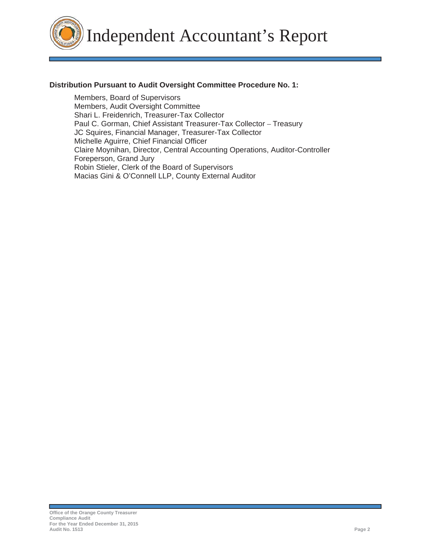Independent Accountant's Report

# **Distribution Pursuant to Audit Oversight Committee Procedure No. 1:**

 Members, Board of Supervisors Members, Audit Oversight Committee Shari L. Freidenrich, Treasurer-Tax Collector Paul C. Gorman, Chief Assistant Treasurer-Tax Collector – Treasury JC Squires, Financial Manager, Treasurer-Tax Collector Michelle Aguirre, Chief Financial Officer Claire Moynihan, Director, Central Accounting Operations, Auditor-Controller Foreperson, Grand Jury Robin Stieler, Clerk of the Board of Supervisors Macias Gini & O'Connell LLP, County External Auditor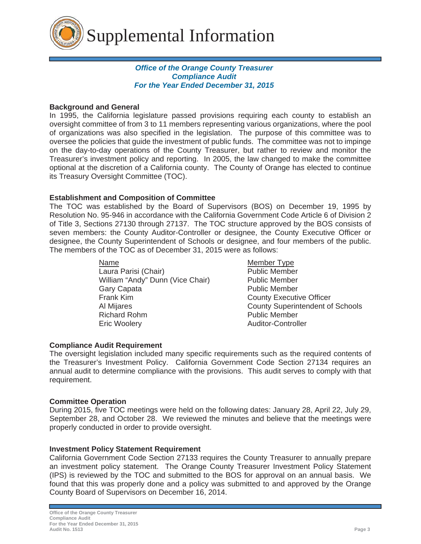

# *Office of the Orange County Treasurer Compliance Audit For the Year Ended December 31, 2015*

# **Background and General**

In 1995, the California legislature passed provisions requiring each county to establish an oversight committee of from 3 to 11 members representing various organizations, where the pool of organizations was also specified in the legislation. The purpose of this committee was to oversee the policies that guide the investment of public funds. The committee was not to impinge on the day-to-day operations of the County Treasurer, but rather to review and monitor the Treasurer's investment policy and reporting. In 2005, the law changed to make the committee optional at the discretion of a California county. The County of Orange has elected to continue its Treasury Oversight Committee (TOC).

# **Establishment and Composition of Committee**

The TOC was established by the Board of Supervisors (BOS) on December 19, 1995 by Resolution No. 95-946 in accordance with the California Government Code Article 6 of Division 2 of Title 3, Sections 27130 through 27137. The TOC structure approved by the BOS consists of seven members: the County Auditor-Controller or designee, the County Executive Officer or designee, the County Superintendent of Schools or designee, and four members of the public. The members of the TOC as of December 31, 2015 were as follows:

Laura Parisi (Chair) **Public Member** William "Andy" Dunn (Vice Chair) Public Member Gary Capata **Public Member**  Frank Kim County Executive Officer Al Mijares County Superintendent of Schools Richard Rohm **Public Member** Eric Woolery **Auditor-Controller** 

NameMember Type

# **Compliance Audit Requirement**

The oversight legislation included many specific requirements such as the required contents of the Treasurer's Investment Policy. California Government Code Section 27134 requires an annual audit to determine compliance with the provisions. This audit serves to comply with that requirement.

# **Committee Operation**

During 2015, five TOC meetings were held on the following dates: January 28, April 22, July 29, September 28, and October 28. We reviewed the minutes and believe that the meetings were properly conducted in order to provide oversight.

# **Investment Policy Statement Requirement**

California Government Code Section 27133 requires the County Treasurer to annually prepare an investment policy statement. The Orange County Treasurer Investment Policy Statement (IPS) is reviewed by the TOC and submitted to the BOS for approval on an annual basis. We found that this was properly done and a policy was submitted to and approved by the Orange County Board of Supervisors on December 16, 2014.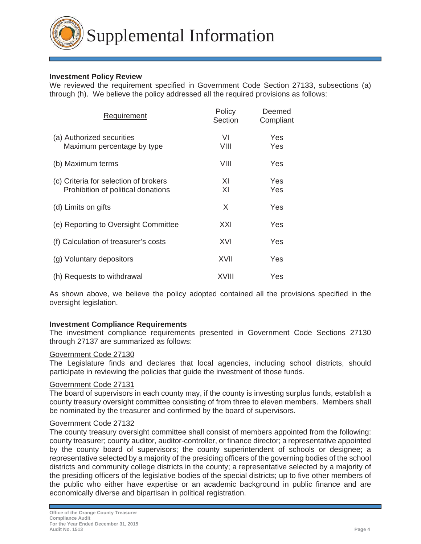

# **Investment Policy Review**

We reviewed the requirement specified in Government Code Section 27133, subsections (a) through (h). We believe the policy addressed all the required provisions as follows:

| Requirement                                                                 | Policy<br><b>Section</b> | Deemed<br>Compliant |
|-----------------------------------------------------------------------------|--------------------------|---------------------|
| (a) Authorized securities<br>Maximum percentage by type                     | VI<br>VIII               | Yes<br>Yes          |
| (b) Maximum terms                                                           | VIII                     | Yes                 |
| (c) Criteria for selection of brokers<br>Prohibition of political donations | XI<br>XI                 | Yes<br>Yes          |
| (d) Limits on gifts                                                         | X                        | Yes                 |
| (e) Reporting to Oversight Committee                                        | XXI                      | Yes                 |
| (f) Calculation of treasurer's costs                                        | XVI                      | Yes                 |
| (g) Voluntary depositors                                                    | XVII                     | Yes                 |
| (h) Requests to withdrawal                                                  | XVIII                    | Yes                 |

As shown above, we believe the policy adopted contained all the provisions specified in the oversight legislation.

#### **Investment Compliance Requirements**

The investment compliance requirements presented in Government Code Sections 27130 through 27137 are summarized as follows:

#### Government Code 27130

The Legislature finds and declares that local agencies, including school districts, should participate in reviewing the policies that guide the investment of those funds.

#### Government Code 27131

The board of supervisors in each county may, if the county is investing surplus funds, establish a county treasury oversight committee consisting of from three to eleven members. Members shall be nominated by the treasurer and confirmed by the board of supervisors.

### Government Code 27132

The county treasury oversight committee shall consist of members appointed from the following: county treasurer; county auditor, auditor-controller, or finance director; a representative appointed by the county board of supervisors; the county superintendent of schools or designee; a representative selected by a majority of the presiding officers of the governing bodies of the school districts and community college districts in the county; a representative selected by a majority of the presiding officers of the legislative bodies of the special districts; up to five other members of the public who either have expertise or an academic background in public finance and are economically diverse and bipartisan in political registration.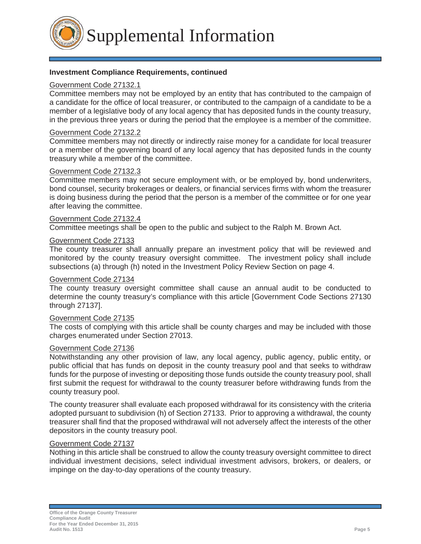Supplemental Information

#### **Investment Compliance Requirements, continued**

#### Government Code 27132.1

Committee members may not be employed by an entity that has contributed to the campaign of a candidate for the office of local treasurer, or contributed to the campaign of a candidate to be a member of a legislative body of any local agency that has deposited funds in the county treasury, in the previous three years or during the period that the employee is a member of the committee.

#### Government Code 27132.2

Committee members may not directly or indirectly raise money for a candidate for local treasurer or a member of the governing board of any local agency that has deposited funds in the county treasury while a member of the committee.

# Government Code 27132.3

Committee members may not secure employment with, or be employed by, bond underwriters, bond counsel, security brokerages or dealers, or financial services firms with whom the treasurer is doing business during the period that the person is a member of the committee or for one year after leaving the committee.

#### Government Code 27132.4

Committee meetings shall be open to the public and subject to the Ralph M. Brown Act.

#### Government Code 27133

The county treasurer shall annually prepare an investment policy that will be reviewed and monitored by the county treasury oversight committee. The investment policy shall include subsections (a) through (h) noted in the Investment Policy Review Section on page 4.

#### Government Code 27134

The county treasury oversight committee shall cause an annual audit to be conducted to determine the county treasury's compliance with this article [Government Code Sections 27130 through 27137].

#### Government Code 27135

The costs of complying with this article shall be county charges and may be included with those charges enumerated under Section 27013.

#### Government Code 27136

Notwithstanding any other provision of law, any local agency, public agency, public entity, or public official that has funds on deposit in the county treasury pool and that seeks to withdraw funds for the purpose of investing or depositing those funds outside the county treasury pool, shall first submit the request for withdrawal to the county treasurer before withdrawing funds from the county treasury pool.

The county treasurer shall evaluate each proposed withdrawal for its consistency with the criteria adopted pursuant to subdivision (h) of Section 27133. Prior to approving a withdrawal, the county treasurer shall find that the proposed withdrawal will not adversely affect the interests of the other depositors in the county treasury pool.

# Government Code 27137

Nothing in this article shall be construed to allow the county treasury oversight committee to direct individual investment decisions, select individual investment advisors, brokers, or dealers, or impinge on the day-to-day operations of the county treasury.